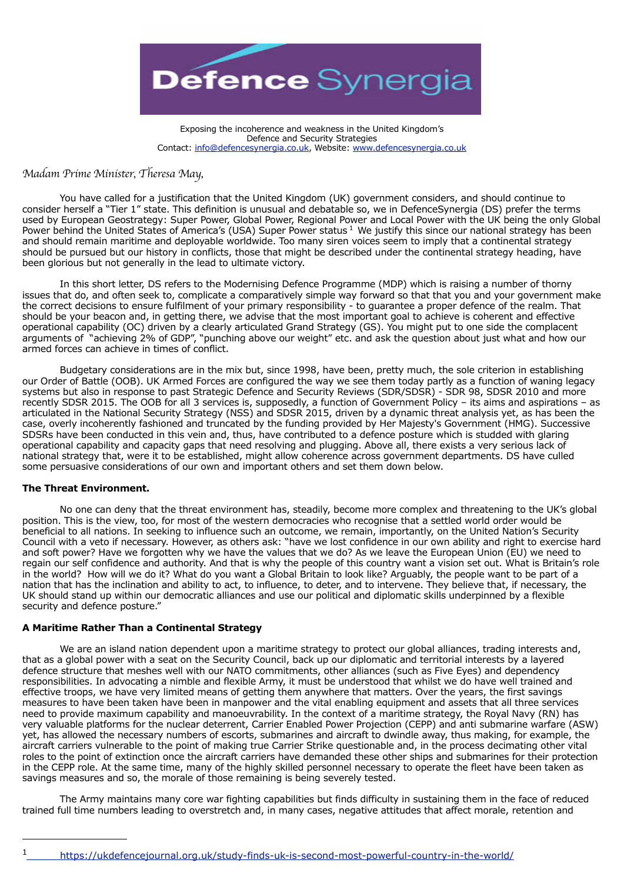

Exposing the incoherence and weakness in the United Kingdom's Defence and Security Strategies Contact: [info@defencesynergia.co.uk,](mailto:info@defencesynergia.co.uk) Website: [www.defencesynergia.co.uk](http://www.defencesynergia.co.uk)

# *Madam Prime Minister, Theresa May,*

 You have called for a justification that the United Kingdom (UK) government considers, and should continue to consider herself a "Tier 1" state. This definition is unusual and debatable so, we in DefenceSynergia (DS) prefer the terms used by European Geostrategy: Super Power, Global Power, Regional Power and Local Power with the UK being the only Global Power behind the United States of America's (USA) Super Power status <sup>[1](#page-0-0)</sup> We justify this since our national strategy has been and should remain maritime and deployable worldwide. Too many siren voices seem to imply that a continental strategy should be pursued but our history in conflicts, those that might be described under the continental strategy heading, have been glorious but not generally in the lead to ultimate victory.

In this short letter, DS refers to the Modernising Defence Programme (MDP) which is raising a number of thorny issues that do, and often seek to, complicate a comparatively simple way forward so that that you and your government make the correct decisions to ensure fulfilment of your primary responsibility - to guarantee a proper defence of the realm. That should be your beacon and, in getting there, we advise that the most important goal to achieve is coherent and effective operational capability (OC) driven by a clearly articulated Grand Strategy (GS). You might put to one side the complacent arguments of "achieving 2% of GDP", "punching above our weight" etc. and ask the question about just what and how our armed forces can achieve in times of conflict.

 Budgetary considerations are in the mix but, since 1998, have been, pretty much, the sole criterion in establishing our Order of Battle (OOB). UK Armed Forces are configured the way we see them today partly as a function of waning legacy systems but also in response to past Strategic Defence and Security Reviews (SDR/SDSR) - SDR 98, SDSR 2010 and more recently SDSR 2015. The OOB for all 3 services is, supposedly, a function of Government Policy – its aims and aspirations – as articulated in the National Security Strategy (NSS) and SDSR 2015, driven by a dynamic threat analysis yet, as has been the case, overly incoherently fashioned and truncated by the funding provided by Her Majesty's Government (HMG). Successive SDSRs have been conducted in this vein and, thus, have contributed to a defence posture which is studded with glaring operational capability and capacity gaps that need resolving and plugging. Above all, there exists a very serious lack of national strategy that, were it to be established, might allow coherence across government departments. DS have culled some persuasive considerations of our own and important others and set them down below.

### **The Threat Environment.**

 No one can deny that the threat environment has, steadily, become more complex and threatening to the UK's global position. This is the view, too, for most of the western democracies who recognise that a settled world order would be beneficial to all nations. In seeking to influence such an outcome, we remain, importantly, on the United Nation's Security Council with a veto if necessary. However, as others ask: "have we lost confidence in our own ability and right to exercise hard and soft power? Have we forgotten why we have the values that we do? As we leave the European Union (EU) we need to regain our self confidence and authority. And that is why the people of this country want a vision set out. What is Britain's role in the world? How will we do it? What do you want a Global Britain to look like? Arguably, the people want to be part of a nation that has the inclination and ability to act, to influence, to deter, and to intervene. They believe that, if necessary, the UK should stand up within our democratic alliances and use our political and diplomatic skills underpinned by a flexible security and defence posture."

## **A Maritime Rather Than a Continental Strategy**

We are an island nation dependent upon a maritime strategy to protect our global alliances, trading interests and, that as a global power with a seat on the Security Council, back up our diplomatic and territorial interests by a layered defence structure that meshes well with our NATO commitments, other alliances (such as Five Eyes) and dependency responsibilities. In advocating a nimble and flexible Army, it must be understood that whilst we do have well trained and effective troops, we have very limited means of getting them anywhere that matters. Over the years, the first savings measures to have been taken have been in manpower and the vital enabling equipment and assets that all three services need to provide maximum capability and manoeuvrability. In the context of a maritime strategy, the Royal Navy (RN) has very valuable platforms for the nuclear deterrent, Carrier Enabled Power Projection (CEPP) and anti submarine warfare (ASW) yet, has allowed the necessary numbers of escorts, submarines and aircraft to dwindle away, thus making, for example, the aircraft carriers vulnerable to the point of making true Carrier Strike questionable and, in the process decimating other vital roles to the point of extinction once the aircraft carriers have demanded these other ships and submarines for their protection in the CEPP role. At the same time, many of the highly skilled personnel necessary to operate the fleet have been taken as savings measures and so, the morale of those remaining is being severely tested.

 The Army maintains many core war fighting capabilities but finds difficulty in sustaining them in the face of reduced trained full time numbers leading to overstretch and, in many cases, negative attitudes that affect morale, retention and

<span id="page-0-0"></span>

[<sup>1</sup> https://ukdefencejournal.org.uk/study-finds-uk-is-second-most-powerful-country-in-the-world/](https://ukdefencejournal.org.uk/study-finds-uk-is-second-most-powerful-country-in-the-world/)